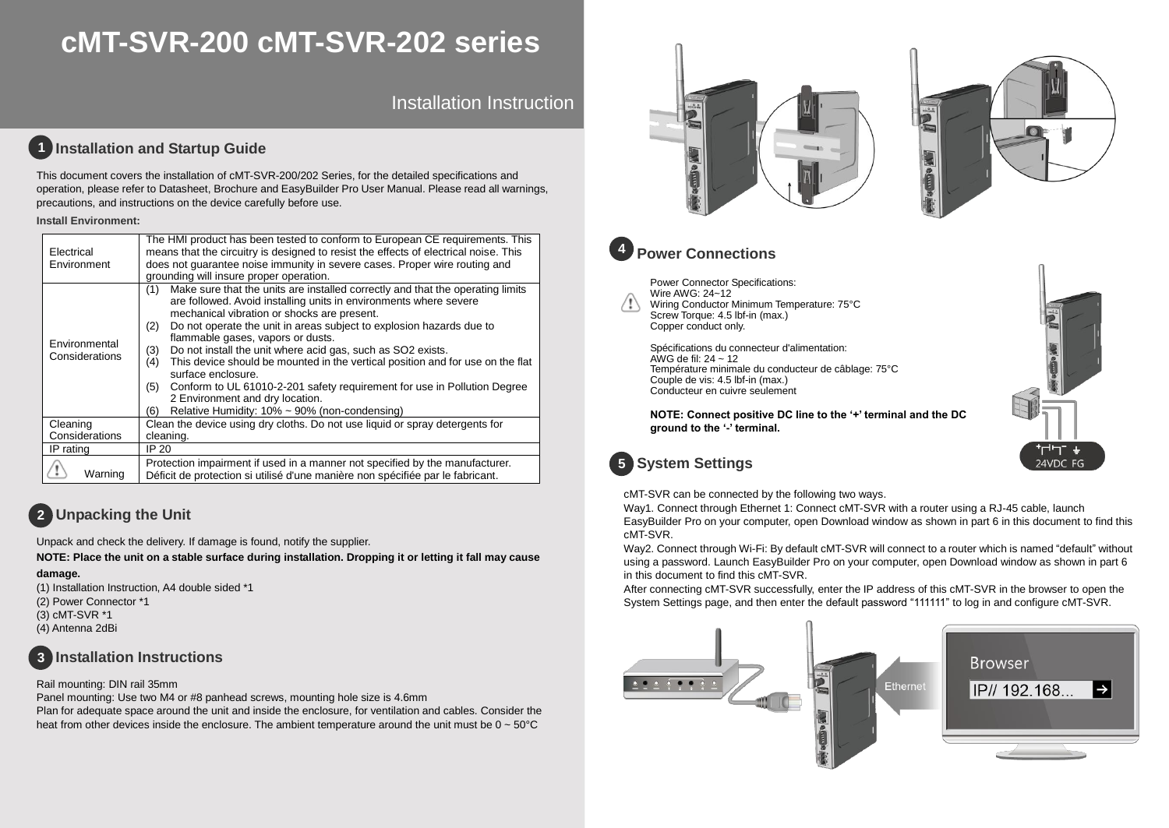# **cMT-SVR-200 cMT-SVR-202 series**

Installation Instruction

### **1** Installation and Startup Guide

This document covers the installation of cMT-SVR-200/202 Series, for the detailed specifications and operation, please refer to Datasheet, Brochure and EasyBuilder Pro User Manual. Please read all warnings, precautions, and instructions on the device carefully before use.

#### **Install Environment:**

| Electrical<br>Environment       | The HMI product has been tested to conform to European CE requirements. This<br>means that the circuitry is designed to resist the effects of electrical noise. This<br>does not quarantee noise immunity in severe cases. Proper wire routing and<br>grounding will insure proper operation.                                                                                                                                                                                                                                                                                                                                                                                                    |  |  |  |  |
|---------------------------------|--------------------------------------------------------------------------------------------------------------------------------------------------------------------------------------------------------------------------------------------------------------------------------------------------------------------------------------------------------------------------------------------------------------------------------------------------------------------------------------------------------------------------------------------------------------------------------------------------------------------------------------------------------------------------------------------------|--|--|--|--|
| Environmental<br>Considerations | Make sure that the units are installed correctly and that the operating limits<br>(1)<br>are followed. Avoid installing units in environments where severe<br>mechanical vibration or shocks are present.<br>Do not operate the unit in areas subject to explosion hazards due to<br>(2)<br>flammable gases, vapors or dusts.<br>Do not install the unit where acid gas, such as SO2 exists.<br>(3)<br>This device should be mounted in the vertical position and for use on the flat<br>(4)<br>surface enclosure.<br>Conform to UL 61010-2-201 safety requirement for use in Pollution Degree<br>(5)<br>2 Environment and dry location.<br>Relative Humidity: 10% ~ 90% (non-condensing)<br>(6) |  |  |  |  |
| Cleaning                        | Clean the device using dry cloths. Do not use liquid or spray detergents for                                                                                                                                                                                                                                                                                                                                                                                                                                                                                                                                                                                                                     |  |  |  |  |
| Considerations                  | cleaning.                                                                                                                                                                                                                                                                                                                                                                                                                                                                                                                                                                                                                                                                                        |  |  |  |  |
| IP rating                       | IP 20                                                                                                                                                                                                                                                                                                                                                                                                                                                                                                                                                                                                                                                                                            |  |  |  |  |
| Warning                         | Protection impairment if used in a manner not specified by the manufacturer.<br>Déficit de protection si utilisé d'une manière non spécifiée par le fabricant.                                                                                                                                                                                                                                                                                                                                                                                                                                                                                                                                   |  |  |  |  |

## **Unpacking the Unit 2**

Unpack and check the delivery. If damage is found, notify the supplier.

**NOTE: Place the unit on a stable surface during installation. Dropping it or letting it fall may cause** 

#### **damage.**

(1) Installation Instruction, A4 double sided \*1 (2) Power Connector \*1 (3) cMT-SVR \*1 (4) Antenna 2dBi



### Rail mounting: DIN rail 35mm

Panel mounting: Use two M4 or #8 panhead screws, mounting hole size is 4.6mm Plan for adequate space around the unit and inside the enclosure, for ventilation and cables. Consider the heat from other devices inside the enclosure. The ambient temperature around the unit must be  $0 \sim 50^{\circ}$ C





24VDC FG



### **Power Connections**

Power Connector Specifications: Wire AWG: 24~12 Wiring Conductor Minimum Temperature: 75°C Screw Torque: 4.5 lbf-in (max.) Copper conduct only.

Spécifications du connecteur d'alimentation: AWG de fil:  $24 \sim 12$ Température minimale du conducteur de câblage: 75°C Couple de vis: 4.5 lbf-in (max.) Conducteur en cuivre seulement

**NOTE: Connect positive DC line to the '+' terminal and the DC ground to the '-' terminal.**

# **System Settings 5**

cMT-SVR can be connected by the following two ways.

Way1. Connect through Ethernet 1: Connect cMT-SVR with a router using a RJ-45 cable, launch EasyBuilder Pro on your computer, open Download window as shown in part 6 in this document to find this cMT-SVR.

Way2. Connect through Wi-Fi: By default cMT-SVR will connect to a router which is named "default" without using a password. Launch EasyBuilder Pro on your computer, open Download window as shown in part 6 in this document to find this cMT-SVR.

After connecting cMT-SVR successfully, enter the IP address of this cMT-SVR in the browser to open the System Settings page, and then enter the default password "111111" to log in and configure cMT-SVR.